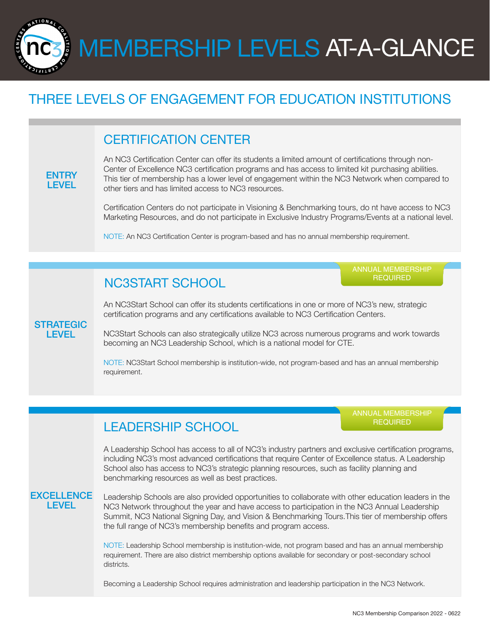MEMBERSHIP LEVELS AT-A-GLANCE

## THREE LEVELS OF ENGAGEMENT FOR EDUCATION INSTITUTIONS

## CERTIFICATION CENTER

#### **ENTRY LEVEL**

NATIONAL

An NC3 Certification Center can offer its students a limited amount of certifications through non-Center of Excellence NC3 certification programs and has access to limited kit purchasing abilities. This tier of membership has a lower level of engagement within the NC3 Network when compared to other tiers and has limited access to NC3 resources.

Certification Centers do not participate in Visioning & Benchmarking tours, do nt have access to NC3 Marketing Resources, and do not participate in Exclusive Industry Programs/Events at a national level.

NOTE: An NC3 Certification Center is program-based and has no annual membership requirement.

## NC3START SCHOOL

ANNUAL MEMBERSHIP REQUIRED

An NC3Start School can offer its students certifications in one or more of NC3's new, strategic certification programs and any certifications available to NC3 Certification Centers.

#### **STRATEGIC** LEVEL

NC3Start Schools can also strategically utilize NC3 across numerous programs and work towards becoming an NC3 Leadership School, which is a national model for CTE.

NOTE: NC3Start School membership is institution-wide, not program-based and has an annual membership requirement.

### LEADERSHIP SCHOOL

ANNUAL MEMBERSHIP REQUIRED

A Leadership School has access to all of NC3's industry partners and exclusive certification programs, including NC3's most advanced certifications that require Center of Excellence status. A Leadership School also has access to NC3's strategic planning resources, such as facility planning and benchmarking resources as well as best practices.

#### **EXCELLENCE** LEVEL

Leadership Schools are also provided opportunities to collaborate with other education leaders in the NC3 Network throughout the year and have access to participation in the NC3 Annual Leadership Summit, NC3 National Signing Day, and Vision & Benchmarking Tours.This tier of membership offers the full range of NC3's membership benefits and program access.

NOTE: Leadership School membership is institution-wide, not program based and has an annual membership requirement. There are also district membership options available for secondary or post-secondary school districts.

Becoming a Leadership School requires administration and leadership participation in the NC3 Network.